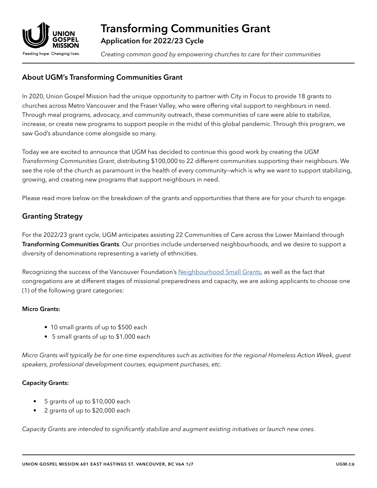

*Creating common good by empowering churches to care for their communities*

# About UGM's Transforming Communities Grant

In 2020, Union Gospel Mission had the unique opportunity to partner with City in Focus to provide 18 grants to churches across Metro Vancouver and the Fraser Valley, who were offering vital support to neighbours in need. Through meal programs, advocacy, and community outreach, these communities of care were able to stabilize, increase, or create new programs to support people in the midst of this global pandemic. Through this program, we saw God's abundance come alongside so many.

Today we are excited to announce that UGM has decided to continue this good work by creating the *UGM Transforming Communities Grant*, distributing \$100,000 to 22 different communities supporting their neighbours. We see the role of the church as paramount in the health of every community—which is why we want to support stabilizing, growing, and creating new programs that support neighbours in need.

Please read more below on the breakdown of the grants and opportunities that there are for your church to engage.

## Granting Strategy

For the 2022/23 grant cycle, UGM anticipates assisting 22 Communities of Care across the Lower Mainland through Transforming Communities Grants. Our priorities include underserved neighbourhoods, and we desire to support a diversity of denominations representing a variety of ethnicities.

Recognizing the success of the Vancouver Foundation's [Neighbourhood Small Grants,](https://neighbourhoodsmallgrants.ca/) as well as the fact that congregations are at different stages of missional preparedness and capacity, we are asking applicants to choose one (1) of the following grant categories:

#### Micro Grants:

- 10 small grants of up to \$500 each
- 5 small grants of up to \$1,000 each

*Micro Grants will typically be for one-time expenditures such as activities for the regional Homeless Action Week, guest speakers, professional development courses, equipment purchases, etc.*

### Capacity Grants:

- 5 grants of up to \$10,000 each
- 2 grants of up to \$20,000 each

*Capacity Grants are intended to significantly stabilize and augment existing initiatives or launch new ones.*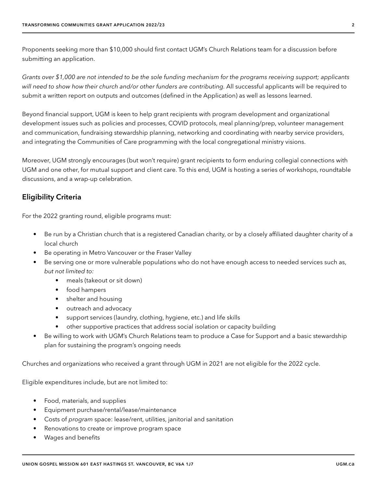Proponents seeking more than \$10,000 should first contact UGM's Church Relations team for a discussion before submitting an application.

*Grants over \$1,000 are not intended to be the sole funding mechanism for the programs receiving support; applicants will need to show how their church and/or other funders are contributing.* All successful applicants will be required to submit a written report on outputs and outcomes (defined in the Application) as well as lessons learned.

Beyond financial support, UGM is keen to help grant recipients with program development and organizational development issues such as policies and processes, COVID protocols, meal planning/prep, volunteer management and communication, fundraising stewardship planning, networking and coordinating with nearby service providers, and integrating the Communities of Care programming with the local congregational ministry visions.

Moreover, UGM strongly encourages (but won't require) grant recipients to form enduring collegial connections with UGM and one other, for mutual support and client care. To this end, UGM is hosting a series of workshops, roundtable discussions, and a wrap-up celebration.

### Eligibility Criteria

For the 2022 granting round, eligible programs must:

- Be run by a Christian church that is a registered Canadian charity, or by a closely affiliated daughter charity of a local church
- Be operating in Metro Vancouver or the Fraser Valley
- Be serving one or more vulnerable populations who do not have enough access to needed services such as, *but not limited to:*
	- meals (takeout or sit down)
	- food hampers
	- shelter and housing
	- outreach and advocacy
	- support services (laundry, clothing, hygiene, etc.) and life skills
	- other supportive practices that address social isolation or capacity building
- Be willing to work with UGM's Church Relations team to produce a Case for Support and a basic stewardship plan for sustaining the program's ongoing needs

Churches and organizations who received a grant through UGM in 2021 are not eligible for the 2022 cycle.

Eligible expenditures include, but are not limited to:

- Food, materials, and supplies
- Equipment purchase/rental/lease/maintenance
- Costs of *program* space: lease/rent, utilities, janitorial and sanitation
- Renovations to create or improve program space
- Wages and benefits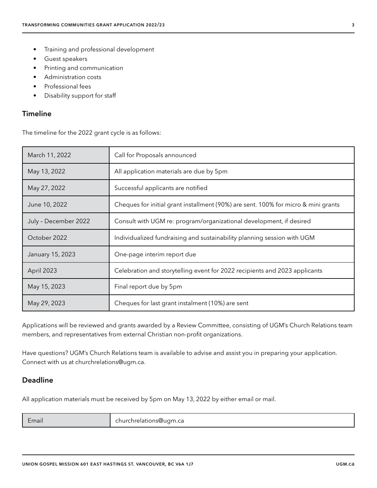- Training and professional development
- Guest speakers
- Printing and communication
- Administration costs
- Professional fees
- Disability support for staff

#### Timeline

The timeline for the 2022 grant cycle is as follows:

| March 11, 2022       | Call for Proposals announced                                                       |
|----------------------|------------------------------------------------------------------------------------|
| May 13, 2022         | All application materials are due by 5pm                                           |
| May 27, 2022         | Successful applicants are notified                                                 |
| June 10, 2022        | Cheques for initial grant installment (90%) are sent. 100% for micro & mini grants |
| July - December 2022 | Consult with UGM re: program/organizational development, if desired                |
| October 2022         | Individualized fundraising and sustainability planning session with UGM            |
| January 15, 2023     | One-page interim report due                                                        |
| April 2023           | Celebration and storytelling event for 2022 recipients and 2023 applicants         |
| May 15, 2023         | Final report due by 5pm                                                            |
| May 29, 2023         | Cheques for last grant instalment (10%) are sent                                   |

Applications will be reviewed and grants awarded by a Review Committee, consisting of UGM's Church Relations team members, and representatives from external Christian non-profit organizations.

Have questions? UGM's Church Relations team is available to advise and assist you in preparing your application. Connect with us at churchrelations@ugm.ca.

### Deadline

All application materials must be received by 5pm on May 13, 2022 by either email or mail.

| :mail |  |
|-------|--|
|       |  |
|       |  |

Email churchrelations@ugm.ca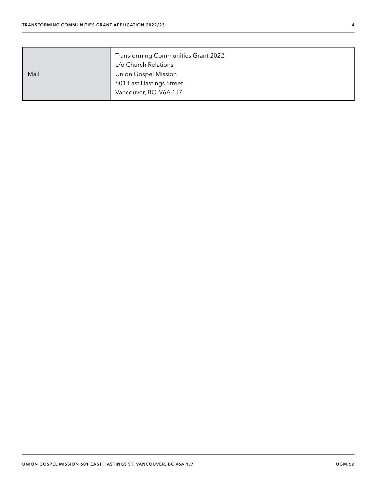| Mail | Transforming Communities Grant 2022<br>c/o Church Relations<br><b>Union Gospel Mission</b><br>601 East Hastings Street<br>Vancouver, BC V6A 1J7 |
|------|-------------------------------------------------------------------------------------------------------------------------------------------------|
|------|-------------------------------------------------------------------------------------------------------------------------------------------------|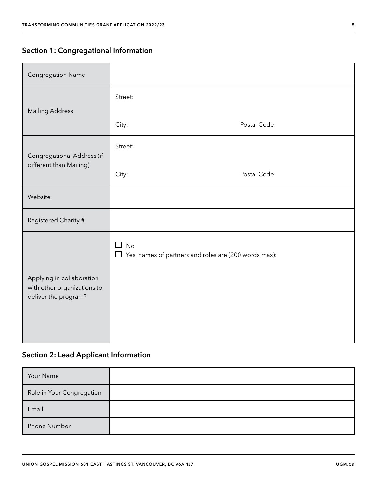# Section 1: Congregational Information

| <b>Congregation Name</b>                                                         |                                                                                   |              |
|----------------------------------------------------------------------------------|-----------------------------------------------------------------------------------|--------------|
|                                                                                  | Street:                                                                           |              |
| <b>Mailing Address</b>                                                           | City:                                                                             | Postal Code: |
|                                                                                  | Street:                                                                           |              |
| Congregational Address (if<br>different than Mailing)                            |                                                                                   |              |
|                                                                                  | City:                                                                             | Postal Code: |
| Website                                                                          |                                                                                   |              |
| Registered Charity #                                                             |                                                                                   |              |
| Applying in collaboration<br>with other organizations to<br>deliver the program? | <b>No</b><br>П<br>Yes, names of partners and roles are (200 words max):<br>$\Box$ |              |

# Section 2: Lead Applicant Information

| Your Name                 |  |
|---------------------------|--|
| Role in Your Congregation |  |
| Email                     |  |
| Phone Number              |  |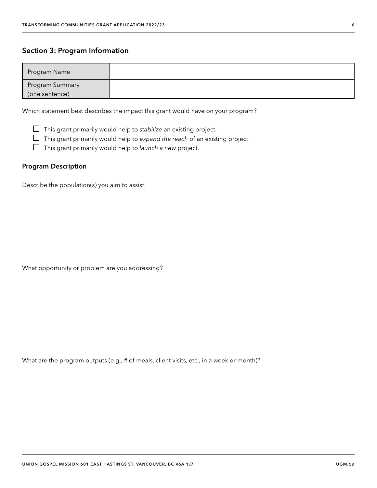### Section 3: Program Information

| Program Name    |  |
|-----------------|--|
| Program Summary |  |
| (one sentence)  |  |

Which statement best describes the impact this grant would have on your program?

This grant primarily would help to *stabilize* an existing project.

This grant primarily would help to *expand the reach* of an existing project.

This grant primarily would help to *launch a new* project.

#### Program Description

Describe the population(s) you aim to assist.

What opportunity or problem are you addressing?

What are the program outputs (e.g., # of meals, client visits, etc., in a week or month)?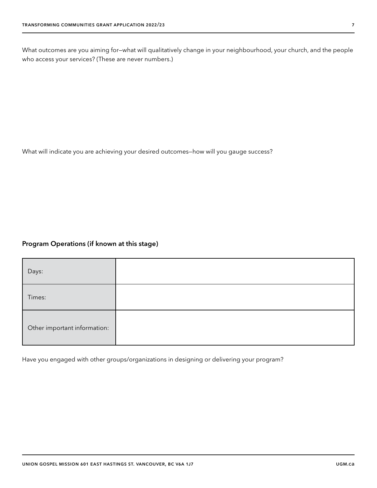What outcomes are you aiming for—what will qualitatively change in your neighbourhood, your church, and the people who access your services? (These are never numbers.)

What will indicate you are achieving your desired outcomes—how will you gauge success?

### Program Operations (if known at this stage)

| Days:                        |  |
|------------------------------|--|
| Times:                       |  |
| Other important information: |  |

Have you engaged with other groups/organizations in designing or delivering your program?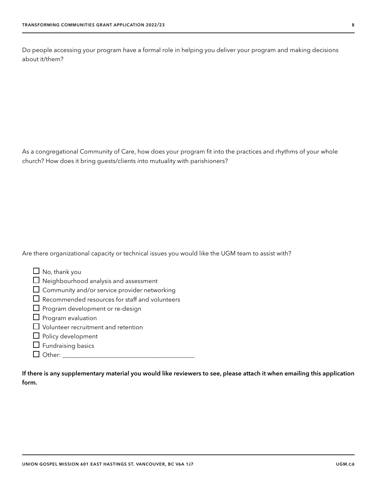Do people accessing your program have a formal role in helping you deliver your program and making decisions about it/them?

As a congregational Community of Care, how does your program fit into the practices and rhythms of your whole church? How does it bring guests/clients into mutuality with parishioners?

Are there organizational capacity or technical issues you would like the UGM team to assist with?

| $\Box$ No, thank you                                  |
|-------------------------------------------------------|
| $\Box$ Neighbourhood analysis and assessment          |
| $\Box$ Community and/or service provider networking   |
| $\Box$ Recommended resources for staff and volunteers |
| $\Box$ Program development or re-design               |
| $\Box$ Program evaluation                             |
| $\Box$ Volunteer recruitment and retention            |
| $\Box$ Policy development                             |
| $\Box$ Fundraising basics                             |
| ther:                                                 |

If there is any supplementary material you would like reviewers to see, please attach it when emailing this application form.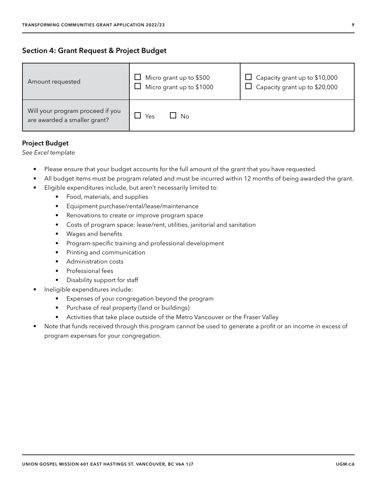| Amount requested                                                 | $\Box$ Micro grant up to \$500<br>Micro grant up to \$1000 | Capacity grant up to \$10,000<br>Capacity grant up to \$20,000 |
|------------------------------------------------------------------|------------------------------------------------------------|----------------------------------------------------------------|
| Will your program proceed if you<br>are awarded a smaller grant? | N∩<br>Yes                                                  |                                                                |

### Project Budget

*See Excel template*

- Please ensure that your budget accounts for the full amount of the grant that you have requested.
- All budget items must be program related and must be incurred within 12 months of being awarded the grant.
- Eligible expenditures include, but aren't necessarily limited to:
	- Food, materials, and supplies
	- Equipment purchase/rental/lease/maintenance
	- Renovations to create or improve program space
	- Costs of program space: lease/rent, utilities, janitorial and sanitation
	- Wages and benefits
	- Program-specific training and professional development
	- Printing and communication
	- Administration costs
	- Professional fees
	- Disability support for staff
- Ineligible expenditures include:
	- Expenses of your congregation beyond the program
	- Purchase of real property (land or buildings)
	- Activities that take place outside of the Metro Vancouver or the Fraser Valley
- Note that funds received through this program cannot be used to generate a profit or an income in excess of program expenses for your congregation.